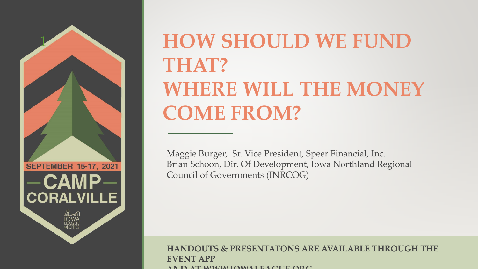

# **HOW SHOULD WE FUND THAT? WHERE WILL THE MONEY COME FROM?**

Maggie Burger, Sr. Vice President, Speer Financial, Inc. Brian Schoon, Dir. Of Development, Iowa Northland Regional Council of Governments (INRCOG)

#### **HANDOUTS & PRESENTATONS ARE AVAILABLE THROUGH THE EVENT APP AND AT WWW.IOWALEAGUE.ORG**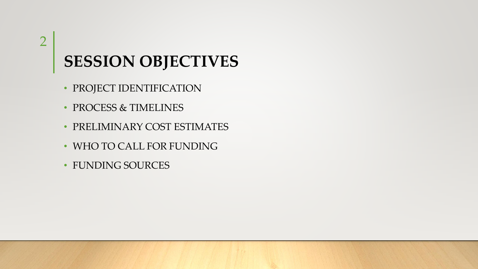### 2

## **SESSION OBJECTIVES**

- PROJECT IDENTIFICATION
- PROCESS & TIMELINES
- PRELIMINARY COST ESTIMATES
- WHO TO CALL FOR FUNDING
- FUNDING SOURCES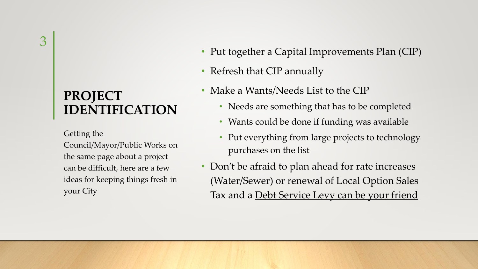#### **PROJECT IDENTIFICATION**

Getting the

Council/Mayor/Public Works on the same page about a project can be difficult, here are a few ideas for keeping things fresh in your City

- Put together a Capital Improvements Plan (CIP)
- Refresh that CIP annually
- Make a Wants/Needs List to the CIP
	- Needs are something that has to be completed
	- Wants could be done if funding was available
	- Put everything from large projects to technology purchases on the list
- Don't be afraid to plan ahead for rate increases (Water/Sewer) or renewal of Local Option Sales Tax and a Debt Service Levy can be your friend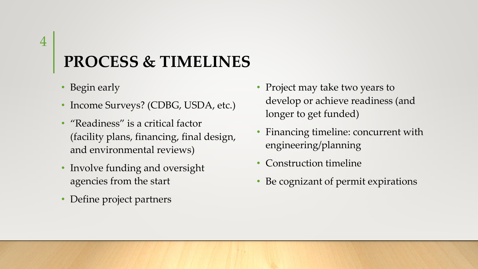#### 4

### **PROCESS & TIMELINES**

- Begin early
- Income Surveys? (CDBG, USDA, etc.)
- "Readiness" is a critical factor (facility plans, financing, final design, and environmental reviews)
- Involve funding and oversight agencies from the start
- Define project partners
- Project may take two years to develop or achieve readiness (and longer to get funded)
- Financing timeline: concurrent with engineering/planning
- Construction timeline
- Be cognizant of permit expirations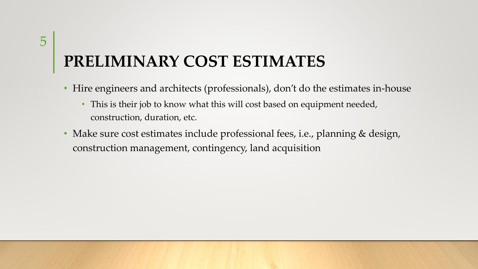## **PRELIMINARY COST ESTIMATES**

- Hire engineers and architects (professionals), don't do the estimates in-house
	- This is their job to know what this will cost based on equipment needed, construction, duration, etc.
- Make sure cost estimates include professional fees, i.e., planning & design, construction management, contingency, land acquisition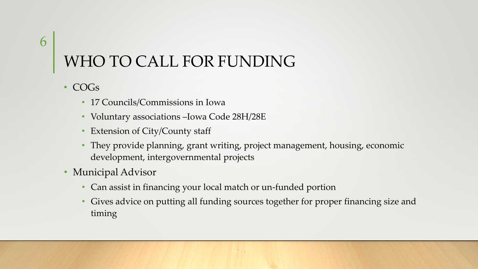## WHO TO CALL FOR FUNDING

• COGs

6

- 17 Councils/Commissions in Iowa
- Voluntary associations –Iowa Code 28H/28E
- Extension of City/County staff
- They provide planning, grant writing, project management, housing, economic development, intergovernmental projects
- Municipal Advisor
	- Can assist in financing your local match or un-funded portion
	- Gives advice on putting all funding sources together for proper financing size and timing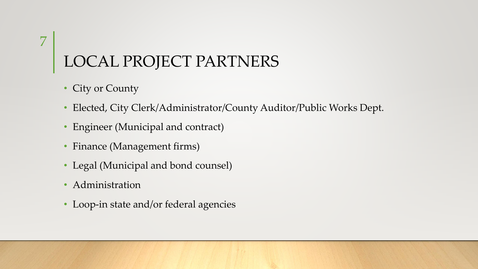# LOCAL PROJECT PARTNERS

• City or County

7

- Elected, City Clerk/Administrator/County Auditor/Public Works Dept.
- Engineer (Municipal and contract)
- Finance (Management firms)
- Legal (Municipal and bond counsel)
- Administration
- Loop-in state and/or federal agencies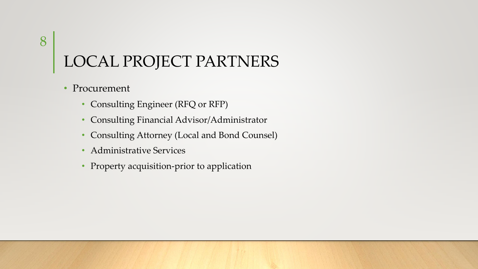## LOCAL PROJECT PARTNERS

- Procurement
	- Consulting Engineer (RFQ or RFP)
	- Consulting Financial Advisor/Administrator
	- Consulting Attorney (Local and Bond Counsel)
	- Administrative Services
	- Property acquisition-prior to application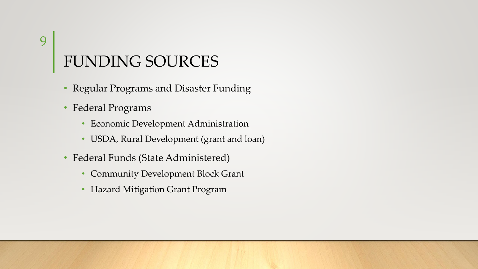# FUNDING SOURCES

- Regular Programs and Disaster Funding
- Federal Programs
	- Economic Development Administration
	- USDA, Rural Development (grant and loan)
- Federal Funds (State Administered)
	- Community Development Block Grant
	- Hazard Mitigation Grant Program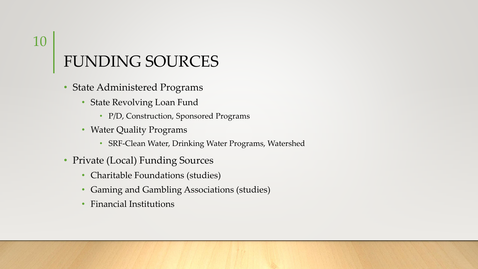## FUNDING SOURCES

- State Administered Programs
	- State Revolving Loan Fund
		- P/D, Construction, Sponsored Programs
	- Water Quality Programs
		- SRF-Clean Water, Drinking Water Programs, Watershed
- Private (Local) Funding Sources
	- Charitable Foundations (studies)
	- Gaming and Gambling Associations (studies)
	- Financial Institutions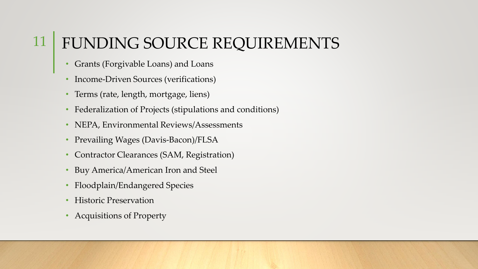#### FUNDING SOURCE REQUIREMENTS 11

- Grants (Forgivable Loans) and Loans
- Income-Driven Sources (verifications)
- Terms (rate, length, mortgage, liens)
- Federalization of Projects (stipulations and conditions)
- NEPA, Environmental Reviews/Assessments
- Prevailing Wages (Davis-Bacon)/FLSA
- Contractor Clearances (SAM, Registration)
- Buy America/American Iron and Steel
- Floodplain/Endangered Species
- Historic Preservation
- Acquisitions of Property